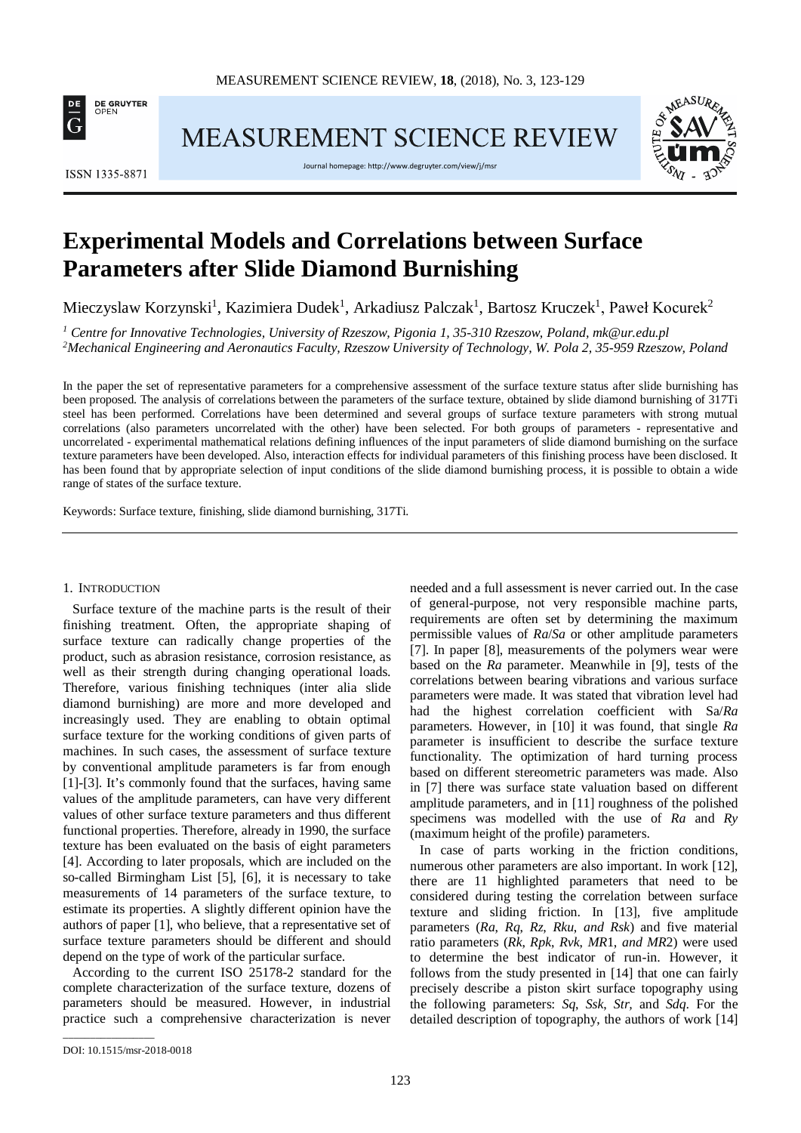

MEASUREMENT SCIENCE REVIEW



ISSN 1335-8871

Journal homepage[: http://www.degruyter.com/view/j/msr](http://www.degruyter.com/view/j/msr)

# **Experimental Models and Correlations between Surface Parameters after Slide Diamond Burnishing**

Mieczyslaw Korzynski<sup>1</sup>, Kazimiera Dudek<sup>1</sup>, Arkadiusz Palczak<sup>1</sup>, Bartosz Kruczek<sup>1</sup>, Paweł Kocurek<sup>2</sup>

*<sup>1</sup> Centre for Innovative Technologies, University of Rzeszow, Pigonia 1, 35-310 Rzeszow, Poland, mk@ur.edu.pl 2 Mechanical Engineering and Aeronautics Faculty, Rzeszow University of Technology, W. Pola 2, 35-959 Rzeszow, Poland*

In the paper the set of representative parameters for a comprehensive assessment of the surface texture status after slide burnishing has been proposed. The analysis of correlations between the parameters of the surface texture, obtained by slide diamond burnishing of 317Ti steel has been performed. Correlations have been determined and several groups of surface texture parameters with strong mutual correlations (also parameters uncorrelated with the other) have been selected. For both groups of parameters - representative and uncorrelated - experimental mathematical relations defining influences of the input parameters of slide diamond burnishing on the surface texture parameters have been developed. Also, interaction effects for individual parameters of this finishing process have been disclosed. It has been found that by appropriate selection of input conditions of the slide diamond burnishing process, it is possible to obtain a wide range of states of the surface texture.

Keywords: Surface texture, finishing, slide diamond burnishing, 317Ti.

## 1. INTRODUCTION

Surface texture of the machine parts is the result of their finishing treatment. Often, the appropriate shaping of surface texture can radically change properties of the product, such as abrasion resistance, corrosion resistance, as well as their strength during changing operational loads. Therefore, various finishing techniques (inter alia slide diamond burnishing) are more and more developed and increasingly used. They are enabling to obtain optimal surface texture for the working conditions of given parts of machines. In such cases, the assessment of surface texture by conventional amplitude parameters is far from enough [1]-[3]. It's commonly found that the surfaces, having same values of the amplitude parameters, can have very different values of other surface texture parameters and thus different functional properties. Therefore, already in 1990, the surface texture has been evaluated on the basis of eight parameters [4]. According to later proposals, which are included on the so-called Birmingham List [5], [6], it is necessary to take measurements of 14 parameters of the surface texture, to estimate its properties. A slightly different opinion have the authors of paper [1], who believe, that a representative set of surface texture parameters should be different and should depend on the type of work of the particular surface.

According to the current ISO 25178-2 standard for the complete characterization of the surface texture, dozens of parameters should be measured. However, in industrial practice such a comprehensive characterization is never

needed and a full assessment is never carried out. In the case of general-purpose, not very responsible machine parts, requirements are often set by determining the maximum permissible values of *Ra*/*Sa* or other amplitude parameters [7]. In paper [8], measurements of the polymers wear were based on the *Ra* parameter. Meanwhile in [9], tests of the correlations between bearing vibrations and various surface parameters were made. It was stated that vibration level had had the highest correlation coefficient with Sa/*Ra* parameters. However, in [10] it was found, that single *Ra* parameter is insufficient to describe the surface texture functionality. The optimization of hard turning process based on different stereometric parameters was made. Also in [7] there was surface state valuation based on different amplitude parameters, and in [11] roughness of the polished specimens was modelled with the use of *Ra* and *Ry* (maximum height of the profile) parameters.

In case of parts working in the friction conditions, numerous other parameters are also important. In work [12], there are 11 highlighted parameters that need to be considered during testing the correlation between surface texture and sliding friction. In [13], five amplitude parameters (*Ra*, *Rq*, *Rz*, *Rku*, *and Rsk*) and five material ratio parameters (*Rk*, *Rpk*, *Rvk*, *MR*1, *and MR*2) were used to determine the best indicator of run-in. However, it follows from the study presented in [14] that one can fairly precisely describe a piston skirt surface topography using the following parameters: *Sq*, *Ssk*, *Str,* and *Sdq*. For the detailed description of topography, the authors of work [14]

\_\_\_\_\_\_\_\_\_\_\_\_\_\_\_\_\_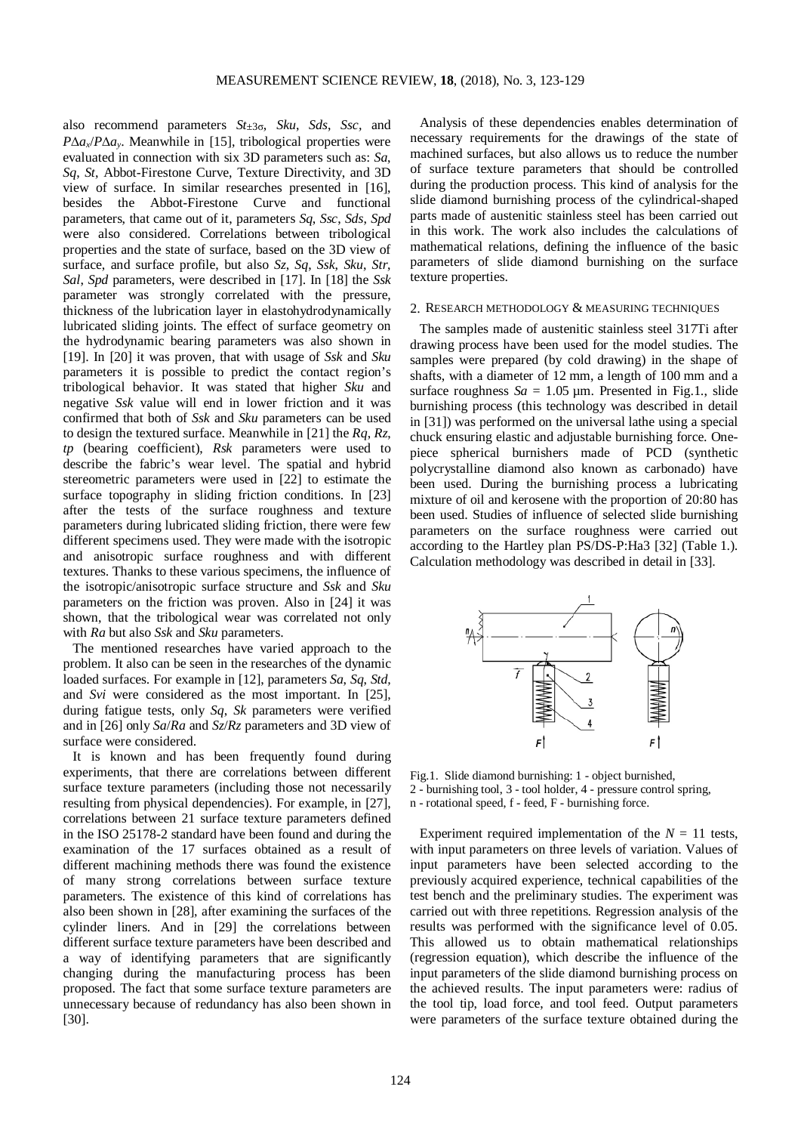also recommend parameters *St*±3σ, *Sku*, *Sds*, *Ssc,* and *P*∆*ax*/*P*∆*ay*. Meanwhile in [15], tribological properties were evaluated in connection with six 3D parameters such as: *Sa*, *Sq*, *St*, Abbot-Firestone Curve, Texture Directivity, and 3D view of surface. In similar researches presented in [16], besides the Abbot-Firestone Curve and functional parameters, that came out of it, parameters *Sq*, *Ssc*, *Sds*, *Spd* were also considered. Correlations between tribological properties and the state of surface, based on the 3D view of surface, and surface profile, but also *Sz*, *Sq*, *Ssk*, *Sku*, *Str*, *Sal*, *Spd* parameters, were described in [17]. In [18] the *Ssk* parameter was strongly correlated with the pressure, thickness of the lubrication layer in elastohydrodynamically lubricated sliding joints. The effect of surface geometry on the hydrodynamic bearing parameters was also shown in [19]. In [20] it was proven, that with usage of *Ssk* and *Sku* parameters it is possible to predict the contact region's tribological behavior. It was stated that higher *Sku* and negative *Ssk* value will end in lower friction and it was confirmed that both of *Ssk* and *Sku* parameters can be used to design the textured surface. Meanwhile in [21] the *Rq*, *Rz*, *tp* (bearing coefficient), *Rsk* parameters were used to describe the fabric's wear level. The spatial and hybrid stereometric parameters were used in [22] to estimate the surface topography in sliding friction conditions. In [23] after the tests of the surface roughness and texture parameters during lubricated sliding friction, there were few different specimens used. They were made with the isotropic and anisotropic surface roughness and with different textures. Thanks to these various specimens, the influence of the isotropic/anisotropic surface structure and *Ssk* and *Sku* parameters on the friction was proven. Also in [24] it was shown, that the tribological wear was correlated not only with *Ra* but also *Ssk* and *Sku* parameters.

The mentioned researches have varied approach to the problem. It also can be seen in the researches of the dynamic loaded surfaces. For example in [12], parameters *Sa*, *Sq*, *Std,* and *Svi* were considered as the most important. In [25], during fatigue tests, only *Sq*, *Sk* parameters were verified and in [26] only *Sa*/*Ra* and *Sz*/*Rz* parameters and 3D view of surface were considered.

It is known and has been frequently found during experiments, that there are correlations between different surface texture parameters (including those not necessarily resulting from physical dependencies). For example, in [27], correlations between 21 surface texture parameters defined in the ISO 25178-2 standard have been found and during the examination of the 17 surfaces obtained as a result of different machining methods there was found the existence of many strong correlations between surface texture parameters. The existence of this kind of correlations has also been shown in [28], after examining the surfaces of the cylinder liners. And in [29] the correlations between different surface texture parameters have been described and a way of identifying parameters that are significantly changing during the manufacturing process has been proposed. The fact that some surface texture parameters are unnecessary because of redundancy has also been shown in [30].

Analysis of these dependencies enables determination of necessary requirements for the drawings of the state of machined surfaces, but also allows us to reduce the number of surface texture parameters that should be controlled during the production process. This kind of analysis for the slide diamond burnishing process of the cylindrical-shaped parts made of austenitic stainless steel has been carried out in this work. The work also includes the calculations of mathematical relations, defining the influence of the basic parameters of slide diamond burnishing on the surface texture properties.

#### 2. RESEARCH METHODOLOGY & MEASURING TECHNIQUES

The samples made of austenitic stainless steel 317Ti after drawing process have been used for the model studies. The samples were prepared (by cold drawing) in the shape of shafts, with a diameter of 12 mm, a length of 100 mm and a surface roughness  $Sa = 1.05 \text{ µm}$ . Presented in Fig.1., slide burnishing process (this technology was described in detail in [31]) was performed on the universal lathe using a special chuck ensuring elastic and adjustable burnishing force. Onepiece spherical burnishers made of PCD (synthetic polycrystalline diamond also known as carbonado) have been used. During the burnishing process a lubricating mixture of oil and kerosene with the proportion of 20:80 has been used. Studies of influence of selected slide burnishing parameters on the surface roughness were carried out according to the Hartley plan PS/DS-P:Ha3 [32] (Table 1.). Calculation methodology was described in detail in [33].



Fig.1. Slide diamond burnishing: 1 - object burnished, 2 - burnishing tool, 3 - tool holder, 4 - pressure control spring, n - rotational speed, f - feed, F - burnishing force.

Experiment required implementation of the  $N = 11$  tests, with input parameters on three levels of variation. Values of input parameters have been selected according to the previously acquired experience, technical capabilities of the test bench and the preliminary studies. The experiment was carried out with three repetitions. Regression analysis of the results was performed with the significance level of 0.05. This allowed us to obtain mathematical relationships (regression equation), which describe the influence of the input parameters of the slide diamond burnishing process on the achieved results. The input parameters were: radius of the tool tip, load force, and tool feed. Output parameters were parameters of the surface texture obtained during the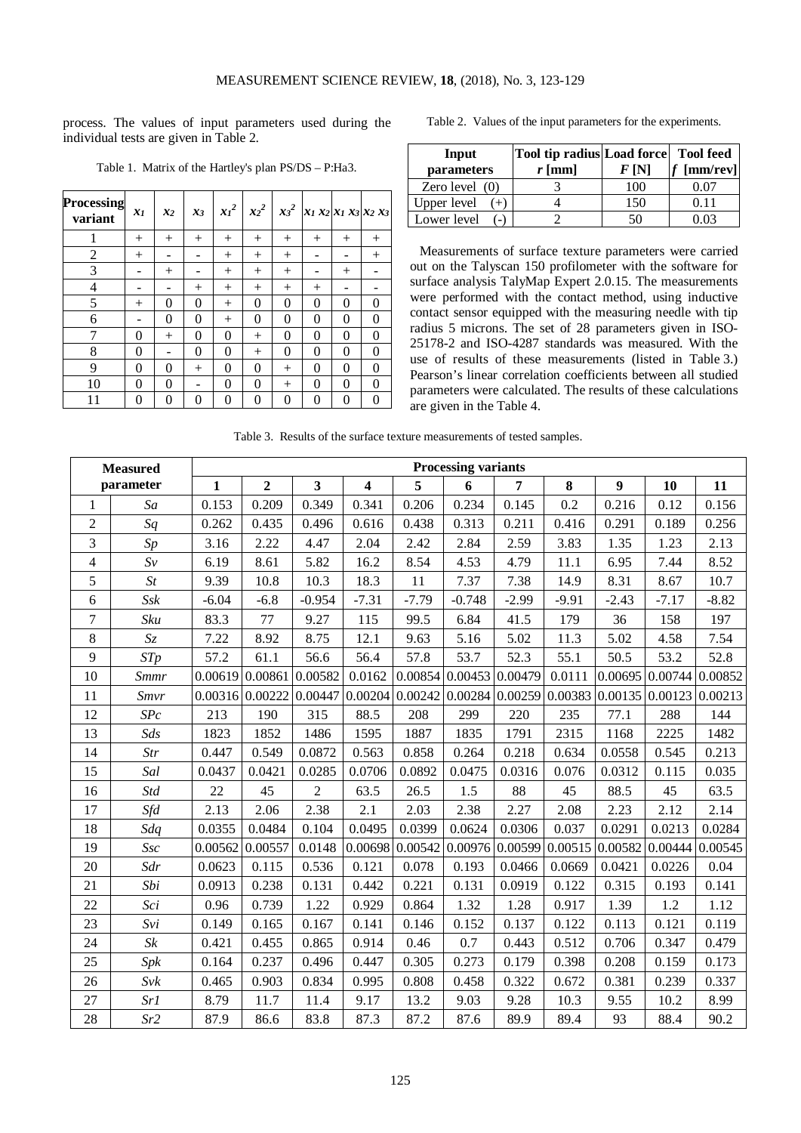process. The values of input parameters used during the individual tests are given in Table 2.

| <b>Processing</b><br>variant | $x_1$          | $x_2$    | $x_3$    | $x_1^2$  | $x_2^2$  | $x_3^2$  | $x_1 x_2   x_1 x_3   x_2 x_3$ |          |          |
|------------------------------|----------------|----------|----------|----------|----------|----------|-------------------------------|----------|----------|
| 1                            | $^{+}$         | $^{+}$   | $^{+}$   | $^{+}$   | $^{+}$   | $^{+}$   | $^{+}$                        | $^{+}$   | $^{+}$   |
| $\overline{2}$               | $^{+}$         |          |          | $^{+}$   | $^{+}$   | $^{+}$   |                               |          | $^{+}$   |
| 3                            |                | $^{+}$   |          | $^{+}$   | $^{+}$   | $^{+}$   |                               | $^{+}$   |          |
| $\overline{4}$               |                |          | $^{+}$   | $^{+}$   | $^{+}$   | $^{+}$   | $^{+}$                        |          |          |
| 5                            | $^{+}$         | $\theta$ | $\theta$ | $^{+}$   | $\theta$ | $\theta$ | $\theta$                      | $\theta$ | $\theta$ |
| 6                            |                | 0        | 0        | $^{+}$   | 0        | 0        | 0                             | 0        | 0        |
| 7                            | $\theta$       | $^{+}$   | $\theta$ | 0        | $^{+}$   | $\theta$ | $\theta$                      | $\theta$ | $\theta$ |
| 8                            | 0              |          | 0        | $\theta$ | $^{+}$   | 0        | $\theta$                      | $\theta$ | $\theta$ |
| 9                            | $\theta$       | $\theta$ | $^{+}$   | $\theta$ | $\theta$ | $^{+}$   | $\theta$                      | $\theta$ | $\theta$ |
| 10                           | $\overline{0}$ | 0        |          | 0        | 0        | $^{+}$   | 0                             | 0        | $\theta$ |
| 11                           | 0              | 0        | 0        | $\theta$ | $\theta$ | 0        | $\theta$                      | $\theta$ | 0        |

Table 1. Matrix of the Hartley's plan PS/DS – P:Ha3.

|  |  |  |  |  |  | Table 2. Values of the input parameters for the experiments. |
|--|--|--|--|--|--|--------------------------------------------------------------|
|--|--|--|--|--|--|--------------------------------------------------------------|

| Input<br>parameters | Tool tip radius Load force Tool feed<br>$r$ [mm] | F(N) | $f$ [mm/rev] |  |  |  |  |
|---------------------|--------------------------------------------------|------|--------------|--|--|--|--|
| Zero level $(0)$    |                                                  | 100  | 0.07         |  |  |  |  |
| Upper level         |                                                  | 150  | 0.11         |  |  |  |  |
| Lower level         |                                                  |      | 103          |  |  |  |  |

Measurements of surface texture parameters were carried out on the Talyscan 150 profilometer with the software for surface analysis TalyMap Expert 2.0.15. The measurements were performed with the contact method, using inductive contact sensor equipped with the measuring needle with tip radius 5 microns. The set of 28 parameters given in ISO-25178-2 and ISO-4287 standards was measured. With the use of results of these measurements (listed in Table 3.) Pearson's linear correlation coefficients between all studied parameters were calculated. The results of these calculations are given in the Table 4.

Table 3. Results of the surface texture measurements of tested samples.

|                          | <b>Measured</b> | <b>Processing variants</b> |                                     |                         |                         |         |          |                                                                                                     |         |                   |         |         |
|--------------------------|-----------------|----------------------------|-------------------------------------|-------------------------|-------------------------|---------|----------|-----------------------------------------------------------------------------------------------------|---------|-------------------|---------|---------|
|                          | parameter       | $\mathbf{1}$               | $\overline{2}$                      | $\overline{\mathbf{3}}$ | $\overline{\mathbf{4}}$ | 5       | 6        | $\overline{7}$                                                                                      | 8       | $\boldsymbol{9}$  | 10      | 11      |
| 1                        | Sa              | 0.153                      | 0.209                               | 0.349                   | 0.341                   | 0.206   | 0.234    | 0.145                                                                                               | 0.2     | 0.216             | 0.12    | 0.156   |
| $\overline{2}$           | Sq              | 0.262                      | 0.435                               | 0.496                   | 0.616                   | 0.438   | 0.313    | 0.211                                                                                               | 0.416   | 0.291             | 0.189   | 0.256   |
| 3                        | Sp              | 3.16                       | 2.22                                | 4.47                    | 2.04                    | 2.42    | 2.84     | 2.59                                                                                                | 3.83    | 1.35              | 1.23    | 2.13    |
| $\overline{\mathcal{L}}$ | $Sv$            | 6.19                       | 8.61                                | 5.82                    | 16.2                    | 8.54    | 4.53     | 4.79                                                                                                | 11.1    | 6.95              | 7.44    | 8.52    |
| 5                        | St              | 9.39                       | 10.8                                | 10.3                    | 18.3                    | 11      | 7.37     | 7.38                                                                                                | 14.9    | 8.31              | 8.67    | 10.7    |
| 6                        | $S$ s $k$       | $-6.04$                    | $-6.8$                              | $-0.954$                | $-7.31$                 | $-7.79$ | $-0.748$ | $-2.99$                                                                                             | $-9.91$ | $-2.43$           | $-7.17$ | $-8.82$ |
| $\boldsymbol{7}$         | Sku             | 83.3                       | 77                                  | 9.27                    | 115                     | 99.5    | 6.84     | 41.5                                                                                                | 179     | 36                | 158     | 197     |
| $\,8\,$                  | $\mathfrak{S}z$ | 7.22                       | 8.92                                | 8.75                    | 12.1                    | 9.63    | 5.16     | 5.02                                                                                                | 11.3    | 5.02              | 4.58    | 7.54    |
| 9                        | STp             | 57.2                       | 61.1                                | 56.6                    | 56.4                    | 57.8    | 53.7     | 52.3                                                                                                | 55.1    | 50.5              | 53.2    | 52.8    |
| 10                       | <b>Smmr</b>     |                            | $0.00619 \mid 0.00861 \mid 0.00582$ |                         | 0.0162                  |         |          | $0.00854 \mid 0.00453 \mid 0.00479$                                                                 | 0.0111  | $0.00695$ 0.00744 |         | 0.00852 |
| 11                       | Smvr            |                            | $0.00316$ 0.00222                   | 0.00447                 | 0.00204                 |         |          | $\vert 0.00242 \vert 0.00284 \vert 0.00259 \vert 0.00383 \vert 0.00135 \vert 0.00123 \vert 0.00213$ |         |                   |         |         |
| 12                       | SPc             | 213                        | 190                                 | 315                     | 88.5                    | 208     | 299      | 220                                                                                                 | 235     | 77.1              | 288     | 144     |
| 13                       | Sds             | 1823                       | 1852                                | 1486                    | 1595                    | 1887    | 1835     | 1791                                                                                                | 2315    | 1168              | 2225    | 1482    |
| 14                       | Str             | 0.447                      | 0.549                               | 0.0872                  | 0.563                   | 0.858   | 0.264    | 0.218                                                                                               | 0.634   | 0.0558            | 0.545   | 0.213   |
| 15                       | Sal             | 0.0437                     | 0.0421                              | 0.0285                  | 0.0706                  | 0.0892  | 0.0475   | 0.0316                                                                                              | 0.076   | 0.0312            | 0.115   | 0.035   |
| 16                       | <b>Std</b>      | 22                         | 45                                  | $\overline{2}$          | 63.5                    | 26.5    | 1.5      | 88                                                                                                  | 45      | 88.5              | 45      | 63.5    |
| 17                       | Sfd             | 2.13                       | 2.06                                | 2.38                    | 2.1                     | 2.03    | 2.38     | 2.27                                                                                                | 2.08    | 2.23              | 2.12    | 2.14    |
| 18                       | Sdq             | 0.0355                     | 0.0484                              | 0.104                   | 0.0495                  | 0.0399  | 0.0624   | 0.0306                                                                                              | 0.037   | 0.0291            | 0.0213  | 0.0284  |
| 19                       | Ssc             | 0.00562 0.00557            |                                     | 0.0148                  | 0.00698                 |         |          | $0.00542 \mid 0.00976 \mid 0.00599 \mid 0.00515 \mid 0.00582$                                       |         |                   | 0.00444 | 0.00545 |
| 20                       | Sdr             | 0.0623                     | 0.115                               | 0.536                   | 0.121                   | 0.078   | 0.193    | 0.0466                                                                                              | 0.0669  | 0.0421            | 0.0226  | 0.04    |
| 21                       | Sbi             | 0.0913                     | 0.238                               | 0.131                   | 0.442                   | 0.221   | 0.131    | 0.0919                                                                                              | 0.122   | 0.315             | 0.193   | 0.141   |
| 22                       | Sci             | 0.96                       | 0.739                               | 1.22                    | 0.929                   | 0.864   | 1.32     | 1.28                                                                                                | 0.917   | 1.39              | 1.2     | 1.12    |
| 23                       | Svi             | 0.149                      | 0.165                               | 0.167                   | 0.141                   | 0.146   | 0.152    | 0.137                                                                                               | 0.122   | 0.113             | 0.121   | 0.119   |
| 24                       | $\mathit{Sk}$   | 0.421                      | 0.455                               | 0.865                   | 0.914                   | 0.46    | 0.7      | 0.443                                                                                               | 0.512   | 0.706             | 0.347   | 0.479   |
| 25                       | Spk             | 0.164                      | 0.237                               | 0.496                   | 0.447                   | 0.305   | 0.273    | 0.179                                                                                               | 0.398   | 0.208             | 0.159   | 0.173   |
| 26                       | Svk             | 0.465                      | 0.903                               | 0.834                   | 0.995                   | 0.808   | 0.458    | 0.322                                                                                               | 0.672   | 0.381             | 0.239   | 0.337   |
| 27                       | Sr1             | 8.79                       | 11.7                                | 11.4                    | 9.17                    | 13.2    | 9.03     | 9.28                                                                                                | 10.3    | 9.55              | 10.2    | 8.99    |
| 28                       | Sr2             | 87.9                       | 86.6                                | 83.8                    | 87.3                    | 87.2    | 87.6     | 89.9                                                                                                | 89.4    | 93                | 88.4    | 90.2    |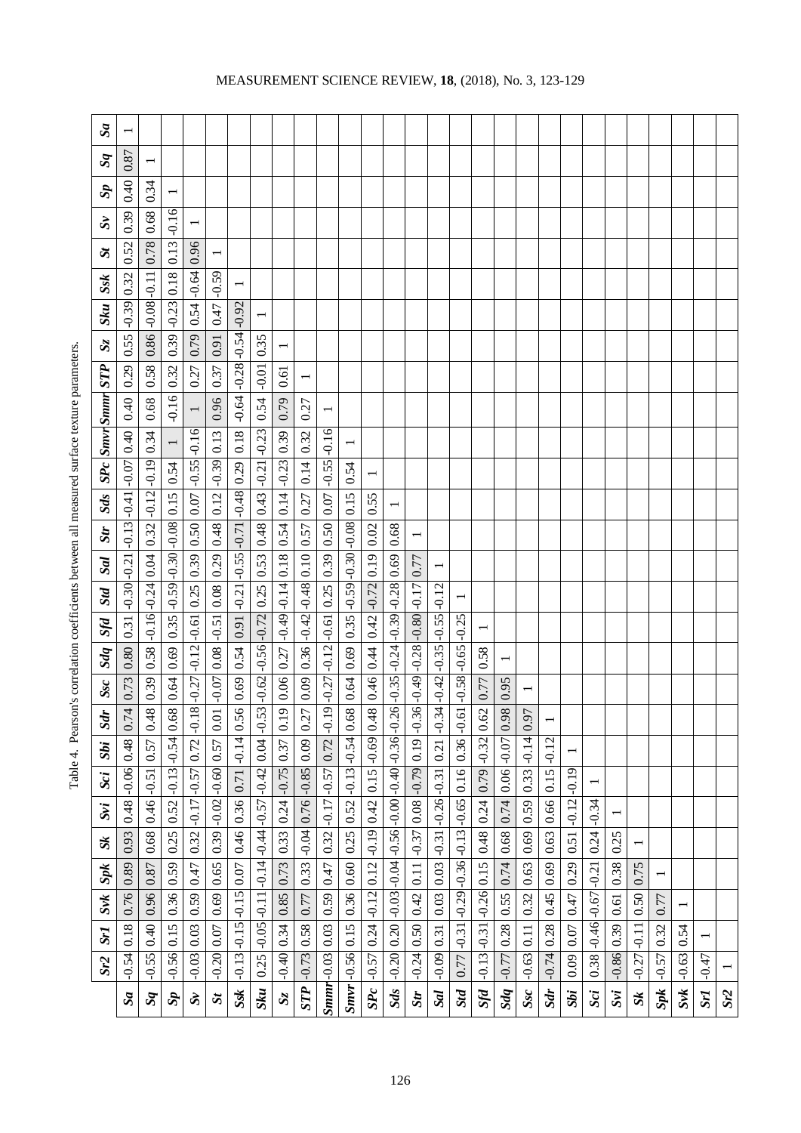| $\mathcal{S}a$    |                                         |                         |                                   |                                    |                         |                      |                                                                 |                            |                         |                                |                                              |         |                                                                                    |                                         |                 |                                      |            |                          |         |                          |                |                         |         |         |                |           |                          |     |
|-------------------|-----------------------------------------|-------------------------|-----------------------------------|------------------------------------|-------------------------|----------------------|-----------------------------------------------------------------|----------------------------|-------------------------|--------------------------------|----------------------------------------------|---------|------------------------------------------------------------------------------------|-----------------------------------------|-----------------|--------------------------------------|------------|--------------------------|---------|--------------------------|----------------|-------------------------|---------|---------|----------------|-----------|--------------------------|-----|
| $s_{q}$           | 0.87                                    |                         |                                   |                                    |                         |                      |                                                                 |                            |                         |                                |                                              |         |                                                                                    |                                         |                 |                                      |            |                          |         |                          |                |                         |         |         |                |           |                          |     |
| $\tilde{S}$       | 0.40                                    | 0.34                    | $\overline{\phantom{0}}$          |                                    |                         |                      |                                                                 |                            |                         |                                |                                              |         |                                                                                    |                                         |                 |                                      |            |                          |         |                          |                |                         |         |         |                |           |                          |     |
| $\tilde{S}$       | 0.39                                    | 0.68                    | $-0.16$                           |                                    |                         |                      |                                                                 |                            |                         |                                |                                              |         |                                                                                    |                                         |                 |                                      |            |                          |         |                          |                |                         |         |         |                |           |                          |     |
| $\mathbf{S}$      | 0.52                                    | 0.78                    | 0.13                              | 0.96                               |                         |                      |                                                                 |                            |                         |                                |                                              |         |                                                                                    |                                         |                 |                                      |            |                          |         |                          |                |                         |         |         |                |           |                          |     |
| Ssk               | 0.32                                    |                         | 0.18                              | $0.54 - 0.64$                      | $-0.59$                 |                      |                                                                 |                            |                         |                                |                                              |         |                                                                                    |                                         |                 |                                      |            |                          |         |                          |                |                         |         |         |                |           |                          |     |
| <b>Sku</b>        | $-0.39$                                 | $0.86$ $-0.08$ $-0.11$  | $0.39$ $-0.23$                    |                                    | 0.47                    | $-0.92$              | $\overline{ }$                                                  |                            |                         |                                |                                              |         |                                                                                    |                                         |                 |                                      |            |                          |         |                          |                |                         |         |         |                |           |                          |     |
| $S_{\rm Z}$       | 0.55                                    |                         |                                   | 0.79                               | 0.91                    | $-0.54$              | 0.35                                                            |                            |                         |                                |                                              |         |                                                                                    |                                         |                 |                                      |            |                          |         |                          |                |                         |         |         |                |           |                          |     |
|                   | 0.29                                    | 0.58                    | 0.32                              | 0.27                               | 0.37                    |                      | $-0.01$                                                         | 0.61                       | $\overline{ }$          |                                |                                              |         |                                                                                    |                                         |                 |                                      |            |                          |         |                          |                |                         |         |         |                |           |                          |     |
| SPc Smvr Smmr STP | 0.40                                    | 0.68                    | $-0.16$                           | $\overline{\phantom{0}}$           | 0.96                    | $-0.64$ $-0.28$      | 0.54                                                            | 0.79                       | 0.27                    |                                |                                              |         |                                                                                    |                                         |                 |                                      |            |                          |         |                          |                |                         |         |         |                |           |                          |     |
|                   | 0.40                                    |                         | $\overline{\phantom{0}}$          | $-0.16$                            |                         | 0.18                 | $-0.23$                                                         | 0.39                       | 0.32                    | $-0.16$                        | $\overline{ }$                               |         |                                                                                    |                                         |                 |                                      |            |                          |         |                          |                |                         |         |         |                |           |                          |     |
|                   |                                         |                         | 0.54                              |                                    |                         |                      |                                                                 |                            | 0.14                    | $-0.55$                        | 0.54                                         |         |                                                                                    |                                         |                 |                                      |            |                          |         |                          |                |                         |         |         |                |           |                          |     |
| Sd <sub>s</sub>   |                                         | $0.32$ -0.12 -0.19 0.34 |                                   | $0.07$ $-0.55$                     | $0.12$ $-0.39$ 0.13     | $-0.71$ $-0.48$ 0.29 | $0.43$ $-0.21$                                                  | $0.14$ $-0.23$             | 0.27                    | 0.07                           |                                              | 0.55    |                                                                                    |                                         |                 |                                      |            |                          |         |                          |                |                         |         |         |                |           |                          |     |
| Str               |                                         |                         |                                   | 0.50                               | 0.48                    |                      | 0.48                                                            | 0.54                       | 0.57                    | 0.50                           |                                              | 0.02    | 0.68                                                                               | $\overline{ }$                          |                 |                                      |            |                          |         |                          |                |                         |         |         |                |           |                          |     |
| Sal               |                                         |                         |                                   | 0.39                               | 0.29                    |                      | 0.53                                                            | 0.18                       |                         | 0.39                           |                                              | 0.19    | 0.69                                                                               | 0.77                                    |                 |                                      |            |                          |         |                          |                |                         |         |         |                |           |                          |     |
| Std               | $-0.30$ $-0.21$ $-0.13$ $-0.41$ $-0.07$ | $-0.16 - 0.24$ 0.04     | $0.35$ -0.59 -0.30 -0.08 0.15     |                                    |                         | $-0.21$ $-0.55$      |                                                                 |                            | $0.36$ -0.42 -0.48 0.10 |                                | $0.69$ $0.35$ $-0.59$ $-0.30$ $-0.08$ $0.15$ | $-0.72$ |                                                                                    |                                         | $-0.12$         |                                      |            |                          |         |                          |                |                         |         |         |                |           |                          |     |
| Sfd               | 0.31                                    |                         |                                   | $-0.27$ $-0.12$ $-0.61$ 0.25       | $0.08$ $-0.51$ 0.08     | 0.91                 | $-0.62$ $-0.56$ $-0.72$ 0.25                                    | $-0.49$ $-0.14$            |                         | $-0.27$ $-0.12$ $-0.61$ $0.25$ |                                              | 0.42    | $-0.35$ $-0.24$ $-0.39$ $-0.28$                                                    | $-0.36$ $-0.49$ $-0.28$ $-0.80$ $-0.17$ | $-0.55$         | $-0.25$                              |            |                          |         |                          |                |                         |         |         |                |           |                          |     |
| Sdq               | 0.80                                    | 0.58                    | 0.69                              |                                    |                         | 0.54                 |                                                                 | 0.27                       |                         |                                |                                              | 0.44    |                                                                                    |                                         |                 | $-0.58 - 0.65$                       | 0.58       | $\overline{\phantom{0}}$ |         |                          |                |                         |         |         |                |           |                          |     |
| Ssc <sup>1</sup>  | 0.73                                    | 0.39                    | 0.64                              |                                    | $-0.07$                 | 0.69                 |                                                                 | 0.06                       | 0.09                    |                                | 0.64                                         | 0.46    |                                                                                    |                                         | $-0.42[-0.35]$  |                                      | 0.77       | 0.95                     |         |                          |                |                         |         |         |                |           |                          |     |
| $\mathcal{S}^d$   | 0.74                                    | 0.48                    | 0.68                              | $8\phantom{1}$<br>$\overline{0}$ . | 0.01                    | 0.56                 |                                                                 | $\sigma$<br>$\overline{0}$ | 0.27                    | $\overline{\mathcal{L}}$<br>Ģ  | 0.68                                         | 0.48    |                                                                                    |                                         | $-0.34$         |                                      | 0.62       | 0.98                     | 0.97    | $\overline{\phantom{0}}$ |                |                         |         |         |                |           |                          |     |
| <b>Sbi</b>        | 0.48                                    | 0.57                    |                                   | 0.72                               |                         | $-0.14$              | $-0.05$ $-0.11$ $-0.14$ $-0.44$ $-0.57$ $-0.42$ $-0.04$ $-0.53$ | 0.37                       |                         | 0.72                           | $-0.13 - 0.54$                               | $-0.69$ | $-0.20$   0.20 $-0.03$   $-0.04$   $-0.56$   $-0.00$   $-0.40$   $-0.36$   $-0.26$ |                                         | 0.21            | $0.36 - 0.61$                        | $  -0.32 $ | $0.06$ -0.07             | $-0.14$ | $-0.12$                  |                |                         |         |         |                |           |                          |     |
| Sci               | $-0.06$                                 | $-0.51$                 | $-0.13$ $-0.54$                   | $-0.57$                            | $0.39$ -0.02 -0.60 0.57 | 0.71                 |                                                                 | $-0.75$                    | $-0.85$ 0.09            | $-0.57$                        |                                              | 0.15    |                                                                                    | $-0.79$ 0.19                            | $-0.31$         |                                      | 0.79       |                          | 0.33    | 0.15                     | $-0.19$        | $\overline{ }$          |         |         |                |           |                          |     |
| Svi               | 0.48                                    | 0.46                    | 0.52                              | $-0.17$                            |                         | 0.36                 |                                                                 | 0.24                       | 0.76                    | $0.32  -0.17$                  | 0.52                                         | 0.42    |                                                                                    | 0.08                                    |                 |                                      | 0.24       | 0.74                     | 0.59    | 0.66                     | $0.51$ $-0.12$ | $0.24 - 0.34$           |         |         |                |           |                          |     |
| $S_k$             | 0.93                                    | 0.68                    | 0.25                              | 0.32                               |                         | 0.46                 |                                                                 | 0.33                       | $-0.04$                 |                                | 0.25                                         | $-0.19$ |                                                                                    | $0.11$ $-0.37$                          | $-0.31$ $-0.26$ |                                      | 0.48       | 0.68                     | 0.69    | 0.63                     |                |                         | 0.25    |         |                |           |                          |     |
| Spk               | 0.89                                    | 0.87                    | 0.59                              | 0.47                               | 0.65                    | 0.07                 |                                                                 | 0.73                       | 0.33                    | 0.47                           | 0.60                                         | 0.12    |                                                                                    |                                         | 0.03            | $-0.29$ $-0.36$ $-0.13$ $-0.65$ 0.16 | 0.15       | 0.74                     | 0.63    | 0.69                     | 0.29           |                         | 0.38    | 0.75    | $\overline{ }$ |           |                          |     |
| $S\nu k$          | 0.76                                    | 0.96                    | 0.36                              | 0.59                               | 0.69                    | $-0.15$              |                                                                 | 0.85                       | 0.77                    | 0.59                           | 0.36                                         | $-0.12$ |                                                                                    | 0.42                                    | 0.03            |                                      | $-0.26$    | 0.55                     | 0.32    | 0.45                     | 0.47           | $-0.46$ $-0.67$ $-0.21$ | 0.61    | 0.50    | 0.77           |           |                          |     |
| Sr1               | 0.18                                    | 0.40                    | 0.15                              | 0.03                               |                         | $-0.15$              |                                                                 | 0.34                       | 0.58                    | 0.03                           |                                              | 0.24    |                                                                                    | 0.50                                    | 0.31            | $-0.31$                              | $-0.31$    | 0.28                     | 0.11    |                          | 0.07           |                         | 0.39    | $-0.11$ | 0.32           | 0.54      | $\overline{\phantom{0}}$ |     |
| Sr2               | $-0.54$                                 | $-0.55$                 | $-0.56$                           | $-0.03$                            | $-0.20$ 0.07            | $-0.13$              | 0.25                                                            | $-0.40$                    | $-0.73$                 | $Smm[-0.03]$                   | $Smr$ $-0.56$ 0.15                           | $-0.57$ |                                                                                    | $-0.24$                                 | $-0.09$         | 0.77                                 | $-0.13$    | $-0.77$                  | $-0.63$ | $-0.74$ 0.28             | 0.09           | 0.38                    | $-0.86$ | $-0.27$ | $-0.57$        | $-0.63$   | $-0.47$                  |     |
|                   | $s_{a}$                                 | $s_{q}$                 | $\boldsymbol{d}_{\boldsymbol{S}}$ | $\mathbf{S}$                       | $\mathbf{g}$            | Ssk                  | Sku                                                             | $\mathbf{S}\mathbf{Z}$     | <b>STP</b>              |                                |                                              | SPc     | Sds                                                                                | Str                                     | Sal             | <b>Std</b>                           | Sfd        | Sdq                      | Ssc     | Sdr                      | <b>Sbi</b>     | Sci                     | Svi     | $S_k$   | Spk            | $S$ v $k$ | Sr1                      | Sr2 |
|                   |                                         |                         |                                   |                                    |                         |                      |                                                                 |                            |                         |                                |                                              |         |                                                                                    |                                         |                 |                                      |            |                          |         |                          |                |                         |         |         |                |           |                          |     |

Table 4. Pearson's correlation coefficients between all measured surface texture parameters. Table 4. Pearson's correlation coefficients between all measured surface texture parameters.

# MEASUREMENT SCIENCE REVIEW, **18**, (2018), No. 3, 123 -129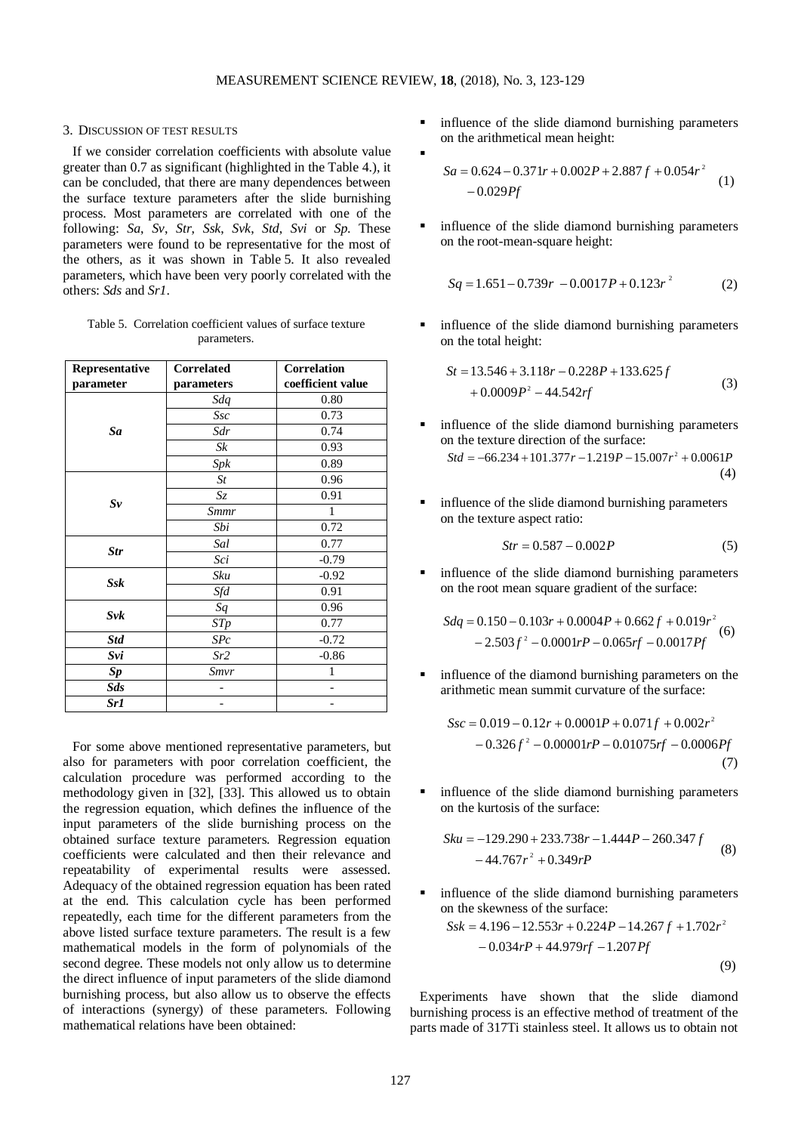$\blacksquare$ 

## 3. DISCUSSION OF TEST RESULTS

If we consider correlation coefficients with absolute value greater than 0.7 as significant (highlighted in the Table 4.), it can be concluded, that there are many dependences between the surface texture parameters after the slide burnishing process. Most parameters are correlated with one of the following: *Sa*, *Sv*, *Str*, *Ssk*, *Svk*, *Std*, *Svi* or *Sp*. These parameters were found to be representative for the most of the others, as it was shown in Table 5. It also revealed parameters, which have been very poorly correlated with the others: *Sds* and *Sr1*.

Table 5. Correlation coefficient values of surface texture parameters.

| Representative    | <b>Correlated</b> | <b>Correlation</b> |  |  |  |  |
|-------------------|-------------------|--------------------|--|--|--|--|
| parameter         | parameters        | coefficient value  |  |  |  |  |
|                   | Sdq               | 0.80               |  |  |  |  |
|                   | Ssc               | 0.73               |  |  |  |  |
| Sa                | Sdr               | 0.74               |  |  |  |  |
|                   | Sk                | 0.93               |  |  |  |  |
|                   | Spk               | 0.89               |  |  |  |  |
|                   | St                | 0.96               |  |  |  |  |
|                   | Sz                | 0.91               |  |  |  |  |
| $S_{\mathcal{V}}$ | Smmr              | 1                  |  |  |  |  |
|                   | Sbi               | 0.72               |  |  |  |  |
|                   | Sal               | 0.77               |  |  |  |  |
| <b>Str</b>        | Sci               | $-0.79$            |  |  |  |  |
|                   | Sku               | $-0.92$            |  |  |  |  |
| $S$ s $k$         | Sfd               | 0.91               |  |  |  |  |
|                   | Sq                | 0.96               |  |  |  |  |
| Svk               | STp               | 0.77               |  |  |  |  |
| <b>Std</b>        | SPc               | $-0.72$            |  |  |  |  |
| Svi               | Sr2               | $-0.86$            |  |  |  |  |
| Sp                | Smvr              | 1                  |  |  |  |  |
| Sds               |                   |                    |  |  |  |  |
| Sr1               |                   |                    |  |  |  |  |

For some above mentioned representative parameters, but also for parameters with poor correlation coefficient, the calculation procedure was performed according to the methodology given in [32], [33]. This allowed us to obtain the regression equation, which defines the influence of the input parameters of the slide burnishing process on the obtained surface texture parameters. Regression equation coefficients were calculated and then their relevance and repeatability of experimental results were assessed. Adequacy of the obtained regression equation has been rated at the end. This calculation cycle has been performed repeatedly, each time for the different parameters from the above listed surface texture parameters. The result is a few mathematical models in the form of polynomials of the second degree. These models not only allow us to determine the direct influence of input parameters of the slide diamond burnishing process, but also allow us to observe the effects of interactions (synergy) of these parameters. Following mathematical relations have been obtained:

**influence of the slide diamond burnishing parameters** on the arithmetical mean height:

$$
Sa = 0.624 - 0.371r + 0.002P + 2.887f + 0.054r^2
$$
  
- 0.029*Pf* (1)

 influence of the slide diamond burnishing parameters on the root-mean-square height:

$$
Sq = 1.651 - 0.739r - 0.0017P + 0.123r^2
$$
 (2)

 influence of the slide diamond burnishing parameters on the total height:

$$
St = 13.546 + 3.118r - 0.228P + 133.625f
$$
  
+ 0.0009P<sup>2</sup> - 44.542rf (3)

- influence of the slide diamond burnishing parameters on the texture direction of the surface:  $Std = -66.234 + 101.377r - 1.219P - 15.007r^2 + 0.0061P$ (4)
- influence of the slide diamond burnishing parameters on the texture aspect ratio:

$$
Str = 0.587 - 0.002P \tag{5}
$$

 influence of the slide diamond burnishing parameters on the root mean square gradient of the surface:

$$
Sdq = 0.150 - 0.103r + 0.0004P + 0.662f + 0.019r^{2}
$$
  
- 2.503f<sup>2</sup> – 0.0001rP – 0.065rf – 0.0017Pf (6)

 influence of the diamond burnishing parameters on the arithmetic mean summit curvature of the surface:

$$
Ssc = 0.019 - 0.12r + 0.0001P + 0.071f + 0.002r2
$$
  
- 0.326f<sup>2</sup> – 0.00001rP – 0.01075rf – 0.0006Pf (7)

 influence of the slide diamond burnishing parameters on the kurtosis of the surface:

$$
Sku = -129.290 + 233.738r - 1.444P - 260.347f
$$
  
- 44.767r<sup>2</sup> + 0.349rP (8)

 influence of the slide diamond burnishing parameters on the skewness of the surface:

$$
Ssk = 4.196 - 12.553r + 0.224P - 14.267f + 1.702r2
$$

$$
-0.034rP + 44.979rf - 1.207Pf
$$
(9)

Experiments have shown that the slide diamond burnishing process is an effective method of treatment of the parts made of 317Ti stainless steel. It allows us to obtain not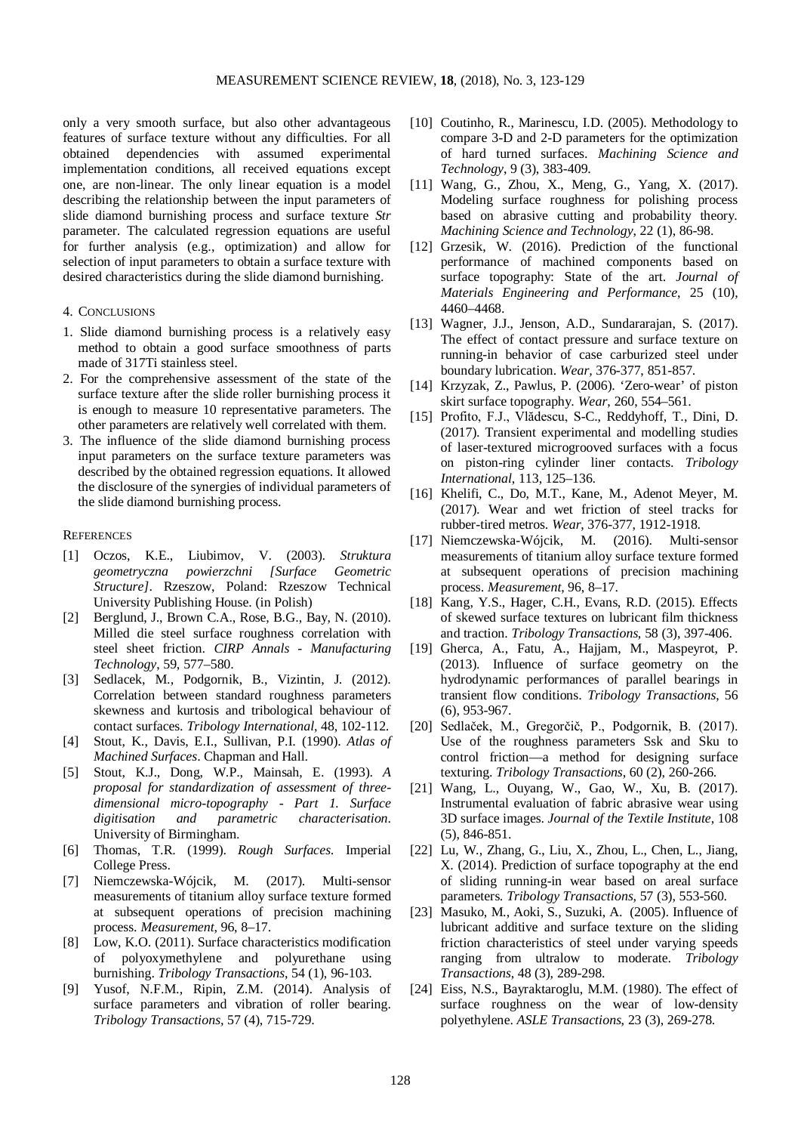only a very smooth surface, but also other advantageous features of surface texture without any difficulties. For all obtained dependencies with assumed experimental implementation conditions, all received equations except one, are non-linear. The only linear equation is a model describing the relationship between the input parameters of slide diamond burnishing process and surface texture *Str* parameter. The calculated regression equations are useful for further analysis (e.g., optimization) and allow for selection of input parameters to obtain a surface texture with desired characteristics during the slide diamond burnishing.

### 4. CONCLUSIONS

- 1. Slide diamond burnishing process is a relatively easy method to obtain a good surface smoothness of parts made of 317Ti stainless steel.
- 2. For the comprehensive assessment of the state of the surface texture after the slide roller burnishing process it is enough to measure 10 representative parameters. The other parameters are relatively well correlated with them.
- 3. The influence of the slide diamond burnishing process input parameters on the surface texture parameters was described by the obtained regression equations. It allowed the disclosure of the synergies of individual parameters of the slide diamond burnishing process.

# **REFERENCES**

- [1] Oczos, K.E., Liubimov, V. (2003). *Struktura geometryczna powierzchni [Surface Geometric Structure]*. Rzeszow, Poland: Rzeszow Technical University Publishing House. (in Polish)
- [2] Berglund, J., Brown C.A., Rose, B.G., Bay, N. (2010). Milled die steel surface roughness correlation with steel sheet friction. *CIRP Annals - Manufacturing Technology*, 59, 577–580.
- [3] Sedlacek, M., Podgornik, B., Vizintin, J. (2012). Correlation between standard roughness parameters skewness and kurtosis and tribological behaviour of contact surfaces. *Tribology International*, 48, 102-112.
- [4] Stout, K., Davis, E.I., Sullivan, P.I. (1990). *Atlas of Machined Surfaces*. Chapman and Hall.
- [5] Stout, K.J., Dong, W.P., Mainsah, E. (1993). *A proposal for standardization of assessment of threedimensional micro-topography - Part 1. Surface digitisation and parametric characterisation*. University of Birmingham.
- [6] Thomas, T.R. (1999). *Rough Surfaces*. Imperial College Press.
- [7] Niemczewska-Wójcik, M. (2017). Multi-sensor measurements of titanium alloy surface texture formed at subsequent operations of precision machining process. *Measurement*, 96, 8–17.
- [8] Low, K.O. (2011). Surface characteristics modification of polyoxymethylene and polyurethane using burnishing. *Tribology Transactions*, 54 (1), 96-103.
- [9] Yusof, N.F.M., Ripin, Z.M. (2014). Analysis of surface parameters and vibration of roller bearing. *Tribology Transactions,* 57 (4), 715-729.
- [10] Coutinho, R., Marinescu, I.D. (2005). Methodology to compare 3-D and 2-D parameters for the optimization of hard turned surfaces. *Machining Science and Technology*, 9 (3), 383-409.
- [11] Wang, G., Zhou, X., Meng, G., Yang, X. (2017). Modeling surface roughness for polishing process based on abrasive cutting and probability theory. *Machining Science and Technology*, 22 (1), 86-98.
- [12] Grzesik, W. (2016). Prediction of the functional performance of machined components based on surface topography: State of the art. *Journal of Materials Engineering and Performance*, 25 (10), 4460–4468.
- [13] Wagner, J.J., Jenson, A.D., Sundararajan, S. (2017). The effect of contact pressure and surface texture on running-in behavior of case carburized steel under boundary lubrication. *Wear,* 376-377, 851-857.
- [14] Krzyzak, Z., Pawlus, P. (2006). 'Zero-wear' of piston skirt surface topography. *Wear*, 260, 554–561.
- [15] Profito, F.J., Vlădescu, S-C., Reddyhoff, T., Dini, D. (2017). Transient experimental and modelling studies of laser-textured microgrooved surfaces with a focus on piston-ring cylinder liner contacts. *Tribology International*, 113, 125–136.
- [16] Khelifi, C., Do, M.T., Kane, M., Adenot Meyer, M. (2017). Wear and wet friction of steel tracks for rubber-tired metros. *Wear*, 376-377, 1912-1918.
- [17] Niemczewska-Wójcik, M. (2016). Multi-sensor measurements of titanium alloy surface texture formed at subsequent operations of precision machining process. *Measurement*, 96, 8–17.
- [18] Kang, Y.S., Hager, C.H., Evans, R.D. (2015). Effects of skewed surface textures on lubricant film thickness and traction. *Tribology Transactions*, 58 (3), 397-406.
- [19] Gherca, A., Fatu, A., Hajjam, M., Maspeyrot, P. (2013). Influence of surface geometry on the hydrodynamic performances of parallel bearings in transient flow conditions. *Tribology Transactions*, 56 (6), 953-967.
- [20] Sedlaček, M., Gregorčič, P., Podgornik, B. (2017). Use of the roughness parameters Ssk and Sku to control friction—a method for designing surface texturing. *Tribology Transactions*, 60 (2), 260-266.
- [21] Wang, L., Ouyang, W., Gao, W., Xu, B. (2017). Instrumental evaluation of fabric abrasive wear using 3D surface images. *Journal of the Textile Institute*, 108 (5), 846-851.
- [22] Lu, W., Zhang, G., Liu, X., Zhou, L., Chen, L., Jiang, X. (2014). Prediction of surface topography at the end of sliding running-in wear based on areal surface parameters. *Tribology Transactions*, 57 (3), 553-560.
- [23] Masuko, M., Aoki, S., Suzuki, A. (2005). Influence of lubricant additive and surface texture on the sliding friction characteristics of steel under varying speeds ranging from ultralow to moderate. *Tribology Transactions*, 48 (3), 289-298.
- [24] Eiss, N.S., Bayraktaroglu, M.M. (1980). The effect of surface roughness on the wear of low-density polyethylene. *ASLE Transactions*, 23 (3), 269-278.